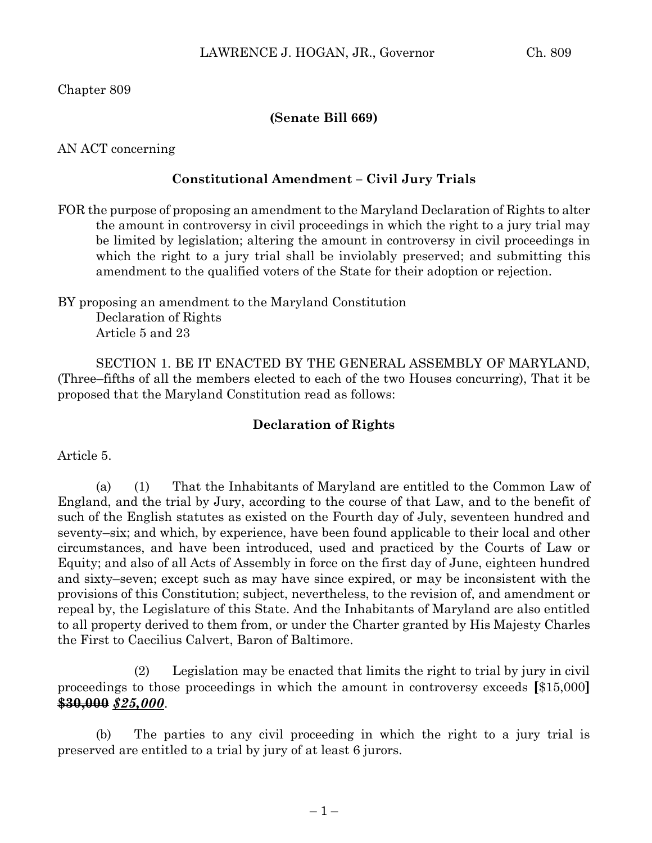Chapter 809

## **(Senate Bill 669)**

AN ACT concerning

## **Constitutional Amendment – Civil Jury Trials**

FOR the purpose of proposing an amendment to the Maryland Declaration of Rights to alter the amount in controversy in civil proceedings in which the right to a jury trial may be limited by legislation; altering the amount in controversy in civil proceedings in which the right to a jury trial shall be inviolably preserved; and submitting this amendment to the qualified voters of the State for their adoption or rejection.

BY proposing an amendment to the Maryland Constitution Declaration of Rights Article 5 and 23

SECTION 1. BE IT ENACTED BY THE GENERAL ASSEMBLY OF MARYLAND, (Three–fifths of all the members elected to each of the two Houses concurring), That it be proposed that the Maryland Constitution read as follows:

## **Declaration of Rights**

Article 5.

(a) (1) That the Inhabitants of Maryland are entitled to the Common Law of England, and the trial by Jury, according to the course of that Law, and to the benefit of such of the English statutes as existed on the Fourth day of July, seventeen hundred and seventy–six; and which, by experience, have been found applicable to their local and other circumstances, and have been introduced, used and practiced by the Courts of Law or Equity; and also of all Acts of Assembly in force on the first day of June, eighteen hundred and sixty–seven; except such as may have since expired, or may be inconsistent with the provisions of this Constitution; subject, nevertheless, to the revision of, and amendment or repeal by, the Legislature of this State. And the Inhabitants of Maryland are also entitled to all property derived to them from, or under the Charter granted by His Majesty Charles the First to Caecilius Calvert, Baron of Baltimore.

(2) Legislation may be enacted that limits the right to trial by jury in civil proceedings to those proceedings in which the amount in controversy exceeds **[**\$15,000**] \$30,000** *\$25,000*.

(b) The parties to any civil proceeding in which the right to a jury trial is preserved are entitled to a trial by jury of at least 6 jurors.